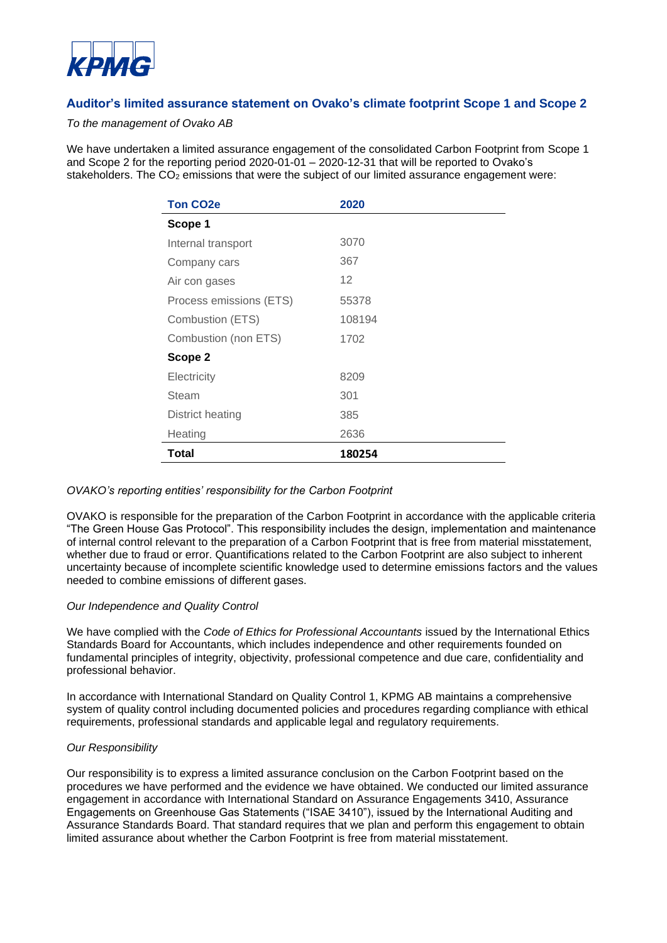

# **Auditor's limited assurance statement on Ovako's climate footprint Scope 1 and Scope 2**

### *To the management of Ovako AB*

We have undertaken a limited assurance engagement of the consolidated Carbon Footprint from Scope 1 and Scope 2 for the reporting period 2020-01-01 – 2020-12-31 that will be reported to Ovako's stakeholders. The  $CO<sub>2</sub>$  emissions that were the subject of our limited assurance engagement were:

| <b>Ton CO2e</b>         | 2020   |
|-------------------------|--------|
| Scope 1                 |        |
| Internal transport      | 3070   |
| Company cars            | 367    |
| Air con gases           | 12     |
| Process emissions (ETS) | 55378  |
| Combustion (ETS)        | 108194 |
| Combustion (non ETS)    | 1702   |
| Scope 2                 |        |
| Electricity             | 8209   |
| Steam                   | 301    |
| District heating        | 385    |
| Heating                 | 2636   |
| Total                   | 180254 |

#### *OVAKO's reporting entities' responsibility for the Carbon Footprint*

OVAKO is responsible for the preparation of the Carbon Footprint in accordance with the applicable criteria "The Green House Gas Protocol". This responsibility includes the design, implementation and maintenance of internal control relevant to the preparation of a Carbon Footprint that is free from material misstatement, whether due to fraud or error. Quantifications related to the Carbon Footprint are also subject to inherent uncertainty because of incomplete scientific knowledge used to determine emissions factors and the values needed to combine emissions of different gases.

#### *Our Independence and Quality Control*

We have complied with the *Code of Ethics for Professional Accountants* issued by the International Ethics Standards Board for Accountants, which includes independence and other requirements founded on fundamental principles of integrity, objectivity, professional competence and due care, confidentiality and professional behavior.

In accordance with International Standard on Quality Control 1, KPMG AB maintains a comprehensive system of quality control including documented policies and procedures regarding compliance with ethical requirements, professional standards and applicable legal and regulatory requirements.

#### *Our Responsibility*

Our responsibility is to express a limited assurance conclusion on the Carbon Footprint based on the procedures we have performed and the evidence we have obtained. We conducted our limited assurance engagement in accordance with International Standard on Assurance Engagements 3410, Assurance Engagements on Greenhouse Gas Statements ("ISAE 3410"), issued by the International Auditing and Assurance Standards Board. That standard requires that we plan and perform this engagement to obtain limited assurance about whether the Carbon Footprint is free from material misstatement.